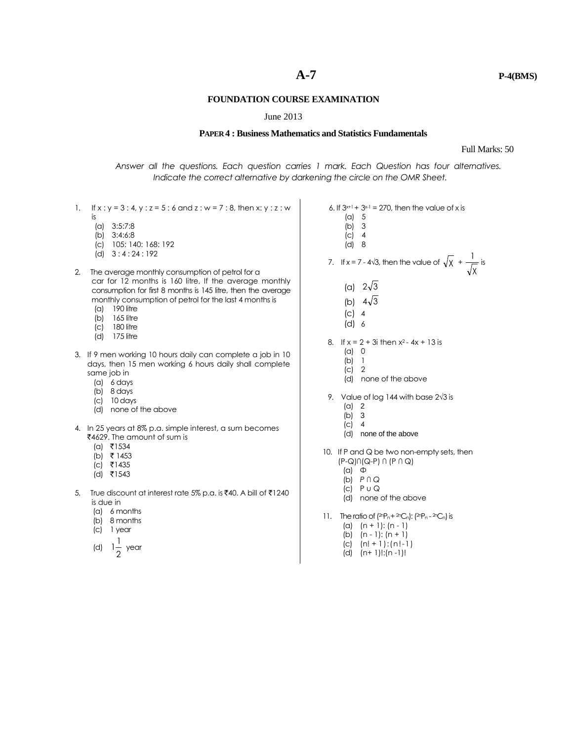## **FOUNDATION COURSE EXAMINATION**

## June 2013

# **PAPER 4 : Business Mathematics and Statistics Fundamentals**

### Full Marks: 50

*Answer all the questions. Each question carries 1 mark. Each Question has four alternatives. Indicate the correct alternative by darkening the circle on the OMR Sheet.*

- 1. If  $x : y = 3 : 4, y : z = 5 : 6$  and  $z : w = 7 : 8$ , then x: y : z : w is (a) 3:5:7:8 (b) 3:4:6:8 (c) 105: 140: 168: 192 (d) 3 : 4 : 24 : 192 2. The average monthly consumption of petrol for a car for 12 months is 160 litre, If the average monthly consumption for first 8 months is 145 litre, then the average monthly consumption of petrol for the last 4 months is (a) 190 litre (b) 165 litre (c) 180 litre (d) 175 litre 3. If 9 men working 10 hours daily can complete a job in 10 days, then 15 men working 6 hours daily shall complete same job in (a) 6 days (b) 8 days (c) 10 days (d) none of the above 4. In 25 years at 8% p.a. simple interest, a sum becomes ₹4629. The amount of sum is  $(a)$  ₹1534 (b) ` 1453  $|c|$  ₹1435  $(d)$  ₹1543 5. True discount at interest rate 5% p.a. is ₹40. A bill of ₹1240 is due in (a) 6 months (b) 8 months (c) 1 year 6. If  $3x+1 + 3x-1 = 270$ , then the value of x is (a) 5 (d) 8 (c) 4 (d) 6 (a) 0 (b) 1 (c) 2 (b) 3 (c) 4 (α)  $\Phi$ 
	- (d) 2 1 1 year
- (b) 3
	- (c) 4
	-
- 7. If  $x = 7 4\sqrt{3}$ , then the value of  $\sqrt{x}$  + χ  $\frac{1}{\sqrt{1}}$  is
	- (a)  $2\sqrt{3}$
	- (b)  $4\sqrt{3}$
	-
	-
- 8. If  $x = 2 + 3i$  then  $x^2 4x + 13$  is
	-
	-
	- (d) none of the above
- 9. Value of log 144 with base 2√3 is
	- (a) 2
	-
	-
	- (d) none of the above
- 10. If P and Q be two non-empty sets, then (P-Q)∩(Q-P) ∩ (P ∩ Q)
	-
	- (b) *P* ∩ *Q*
	- $(c)$   $P \cup Q$
	- (d) none of the above
- 11. The ratio of  $(2nP_n + 2nC_n)$ :  $(2nP_n 2nC_n)$  is
	- (a)  $(n + 1)$ :  $(n 1)$
	- (b) (n 1): (n + 1)
	- (c) (n! + 1):(n!-1)
	- (d) (n+ 1)!:(n -1)!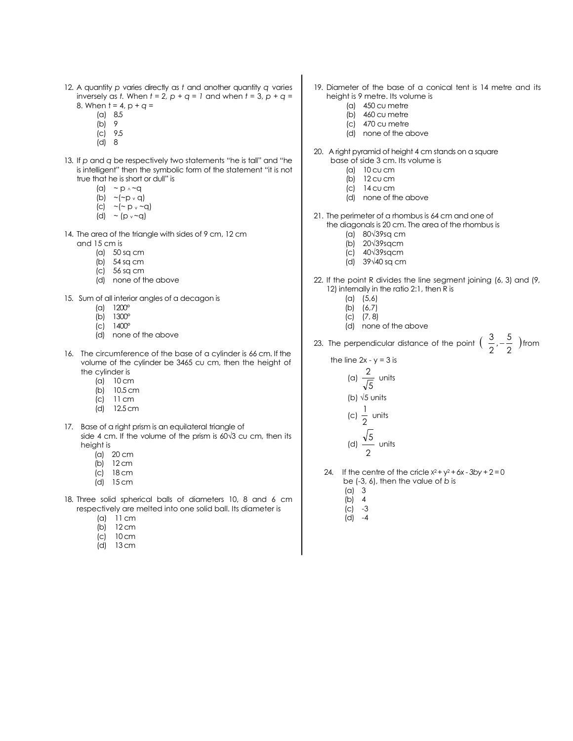- 12. A quantity *p* varies directly as *t* and another quantity *q* varies inversely as *t*. When  $t = 2$ ,  $p + q = 1$  and when  $t = 3$ ,  $p + q =$ 8. When  $t = 4$ ,  $p + q =$ 
	- (a) 8.5
	- (b) 9
	- (c) 9.5
	- (d) 8
- 13. If *p* and *q* be respectively two statements "he is tall" and "he is intelligent" then the symbolic form of the statement "it is not true that he is short or dull" is
	- (a)  $\sim p \wedge \sim q$
	- (b)  $\sim$  ( $\sim$  p  $\sim$  q)
	- (c)  $\sim$  ( $\sim$  p  $\sim$   $\sim$  q)
	- (d)  $\sim$  (p<sub>v</sub> $\sim$ q)
- 14. The area of the triangle with sides of 9 cm, 12 cm and 15 cm is
	- (a) 50 sq cm
	- (b) 54 sq cm
	- (c) 56 sq cm
	- (d) none of the above
- 15. Sum of all interior angles of a decagon is
	- (a) 1200°
	- (b) 1300°
	- (c) 1400°
	- (d) none of the above
- 16. The circumference of the base of a cylinder is 66 cm. If the volume of the cylinder be 3465 cu cm, then the height of the cylinder is
	- (a) 10 cm
	- (b) 10.5 cm
	- (c) 11 cm
	- (d) 12.5 cm
- 17. Base of a right prism is an equilateral triangle of side 4 cm. If the volume of the prism is 60√3 cu cm, then its height is
	- (a) 20 cm
	- $(b)$  12 cm
	- (c) 18 cm
	- (d) 15 cm
- 18. Three solid spherical balls of diameters 10, 8 and 6 cm respectively are melted into one solid ball. Its diameter is
	- (a) 11 cm
	- (b) 12 cm
	- (c) 10 cm
	- (d) 13 cm
- 19. Diameter of the base of a conical tent is 14 metre and its height is 9 metre. Its volume is
	- (a) 450 cu metre
	- (b) 460 cu metre
	- (c) 470 cu metre
	- (d) none of the above
- 20. A right pyramid of height 4 cm stands on a square base of side 3 cm. Its volume is
	- (a) 10 cu cm
	- (b) 12 cu cm
	- (c) 14 cu cm
	- (d) none of the above
- 21. The perimeter of a rhombus is 64 cm and one of the diagonals is 20 cm. The area of the rhombus is
	- (a) 80√39sq cm
	-
	- (b) 20√39sqcm (c) 40√39sqcm
	- (d) 39√40 sq cm
- 22. If the point R divides the line segment joining (6, 3) and (9, 12) internally in the ratio 2:1, then R is
	- (a) (5,6)
	- (b) (6,7)
	- $(C)$   $(7, 8)$
	- (d) none of the above
- 23. The perpendicular distance of the point  $\left(\begin{array}{c} 0 \ 2 \end{array}, -\frac{3}{2} \end{array}\right)$  $\frac{3}{2}$ ,  $-\frac{5}{2}$  $\frac{3}{2}, -\frac{5}{2}$  ) from
	- the line  $2x y = 3$  is

(a) 
$$
\frac{2}{\sqrt{5}}
$$
 units  
\n(b)  $\sqrt{5}$  units  
\n(c)  $\frac{1}{2}$  units  
\n(d)  $\frac{\sqrt{5}}{2}$  units

- 24. If the centre of the cricle  $x^2 + y^2 + 6x 3by + 2 = 0$ 
	- be (-3, 6), then the value of *b* is
	- (a) 3
	- (b) 4
	- $|C| -3$
	- (d) -4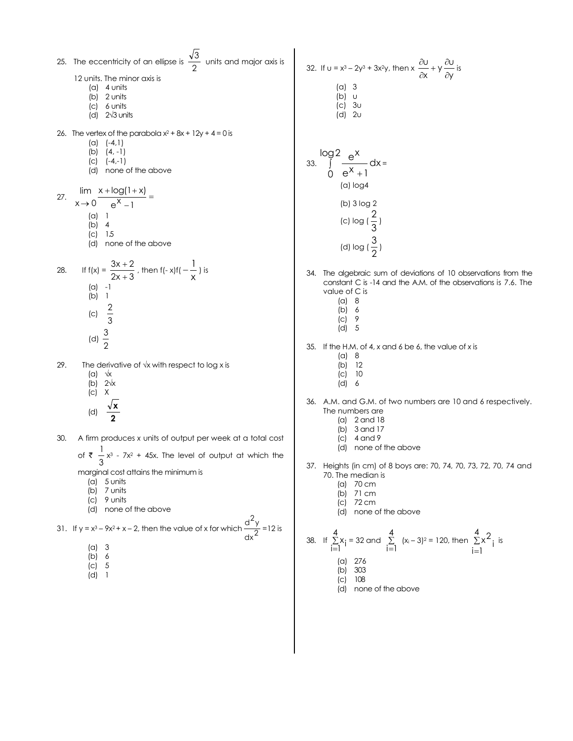25. The eccentricity of an ellipse is  $\frac{1}{2}$ 3 units and major axis is 12 units. The minor axis is (a) 4 units (b) 2 units (c) 6 units (d) 2√3 units 26. The vertex of the parabola  $x^2 + 8x + 12y + 4 = 0$  is  $(a)$   $(-4,1)$  $(b)$   $(4, -1)$ (c) (-4,-1) (d) none of the above 27.  $\frac{x + \log(1 + x)}{x} =$ - $+log(1 +$  $\rightarrow 0$  e<sup>x</sup> -1  $x + log(1 + x)$  $x \rightarrow 0$ lim (a) 1  $(b)$  4 (c) 1.5 (d) none of the above 28. If  $f(x) = \frac{3x+2}{2x+3}$  $3x + 2$  $^{+}$  $+2/3$  , then f(- x)f(  $-\frac{1}{x}$  $\frac{1}{1}$  ) is (a) -1 (b) 1 (c) 3 2 (d)  $\frac{1}{2}$ 3 29. The derivative of  $\sqrt{x}$  with respect to log x is  $(a) \sqrt{x}$ (b) 2√x (c) X (d) **2 x** 30. A firm produces *x* units of output per week at a total cost 1 x <sup>3</sup> - 7x <sup>2</sup> + 45x. The level of output at which the 32. If  $u = x^3 - 2y^3 + 3x^2y$ , then  $x \frac{\partial u}{\partial x} + y \frac{\partial v}{\partial y}$  $\frac{\partial U}{\partial x} + y \frac{\partial}{\partial y}$  $\frac{\partial U}{\partial x} + y \frac{\partial U}{\partial y}$  is (a) 3 (b) u (c) 3u  $\overrightarrow{d}$  2u 33.  $\int \frac{6}{1} dx$ log2  $0 e^{X} + 1$  $\int \frac{e^{x}}{x}$  $^{+}$ = (a) log4 (b) 3 log 2 (c)  $log(\frac{\pi}{3})$  $\frac{2}{2}$ (d)  $log(\frac{1}{2})$  $\frac{3}{2}$ 34. The algebraic sum of deviations of 10 observations from the constant C is -14 and the A.M. of the observations is 7.6. The value of C is (a) 8  $(b) 6$ <br>(c) 9  $(C)$ (d) 5 35. If the H.M. of 4, *x* and 6 be 6, the value of *x* is (a) 8 (b) 12 (c) 10 (d) 6 36. A.M. and G.M. of two numbers are 10 and 6 respectively. The numbers are (a) 2 and 18 (b) 3 and 17 (c) 4 and 9

- (d) none of the above
- 37. Heights (in cm) of 8 boys are: 70, 74, 70, 73, 72, 70, 74 and 70. The median is

 $\frac{U}{X} + y \frac{\partial U}{\partial y}$ u

 $\partial$ 

- (a) 70 cm
- (b) 71 cm
- (c) 72 cm
- (d) none of the above

38. If 
$$
\sum_{i=1}^{4} x_i = 32
$$
 and  $\sum_{i=1}^{4} (x_i - 3)^2 = 120$ , then  $\sum_{i=1}^{4} x_i^2$  is  
\n(a) 276  
\n(b) 303  
\n(c) 108  
\n(d) none of the above

of  $\overline{3}$ marginal cost attains the minimum is (a) 5 units

- 
- (b) 7 units
- (c) 9 units (d) none of the above
- 31. If y =  $x^3 9x^2 + x 2$ , then the value of x for which  $\frac{d}{dx}$  $\frac{d^2y}{2}$  = 12 is
	- (a) 3
	- $(b) 6$
	- (c) 5
	- (d) 1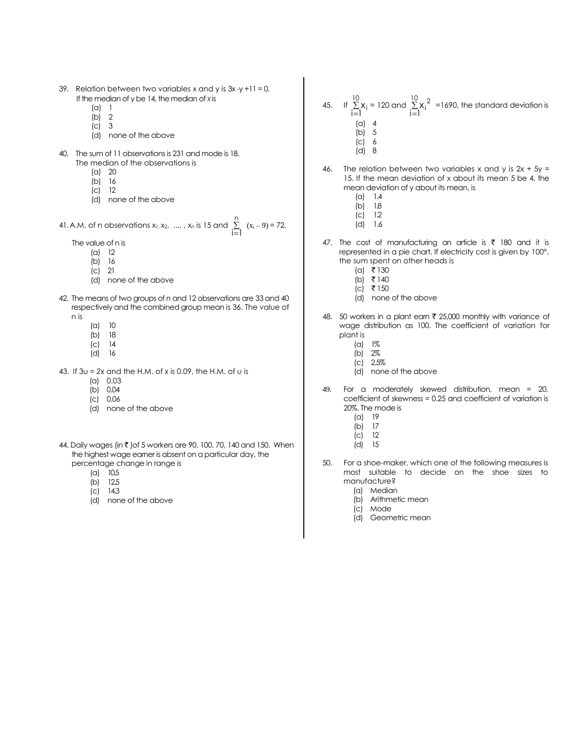- 39. Relation between two variables x and y is  $3x -y +11 = 0$ . If the median of y be 14, the median of x is
	- (a) 1
	- (b) 2
	- (c) 3 (d) none of the above
- 40. The sum of 11 observations is 231 and mode is 18. The median of the observations is
	- (a) 20
	- (b) 16
	- (c) 12
	- (d) none of the above

41. A.M. of n observations  $x_1, x_2, ..., x_n$  is 15 and  $\sum$  $=$ n  $\sum_{i=1}$   $(x_i - 9) = 72.$ 

The value of n is

- (a) 12
- (b) 16
- (c) 21
- (d) none of the above
- 42. The means of two groups of *n* and 12 observations are 33 and 40 respectively and the combined group mean is 36. The value of n is
	- (a) 10
	- $(b)$  18<br>(c) 14
	- $|C|$ (d) 16
	-
- 43. If 3u = *2x* and the H.M. of *x* is 0.09, the H.M. of *u* is
	- (a) 0.03
	- (b) 0.04
	- (c) 0.06
	- (d) none of the above
- 44. Daily wages (in ₹ )of 5 workers are 90, 100, 70, 140 and 150. When the highest wage earner is absent on a particular day, the percentage change in range is
	- (a) 10.5
	- (b) 12.5
	- (c) 14.3
	- (d) none of the above
- 45. If  $\Sigma$  $=$ 10 i–l<sup>^i</sup><br>i=l  $X_i = 120$  and  $\Sigma$  $=$  $\sum_{i=1}^{10} x_i^2$  $x_i^2$  =1690, the standard deviation is
	- (a) 4 (b) 5
	- (c) 6
	- (d) 8
- 46. The relation between two variables x and y is  $2x + 5y =$ 15. If the mean deviation of x about its mean 5 be 4, the mean deviation of y about its mean, is
	- (a) 1.4
	- $(b)$  1.8
	- $\overline{c}$  1.2
	- (d) 1.6
- 47. The cost of manufacturing an article is  $\bar{\tau}$  180 and it is represented in a pie chart. If electricity cost is given by 100°, the sum spent on other heads is
	- $(a)$  ₹ 130
	- (b) ₹ 140
	- $(c)$  ₹ 150
	- (d) none of the above
- 48. 50 workers in a plant earn  $\bar{\tau}$  25,000 monthly with variance of wage distribution as 100. The coefficient of variation for plant is
	- (a) 1%
	- (b) 2%
	- (c) 2.5%
	- (d) none of the above
- 49. For a moderately skewed distribution, mean = 20, coefficient of skewness = 0.25 and coefficient of variation is 20%. The mode is
	- (a) 19
	- (b) 17
	- $|c|$  12
	- (d) 15
- 50. For a shoe-maker, which one of the following measures is most suitable to decide on the shoe sizes to manufacture?
	- (a) Median
	- (b) Arithmetic mean
	- (c) Mode
	- (d) Geometric mean